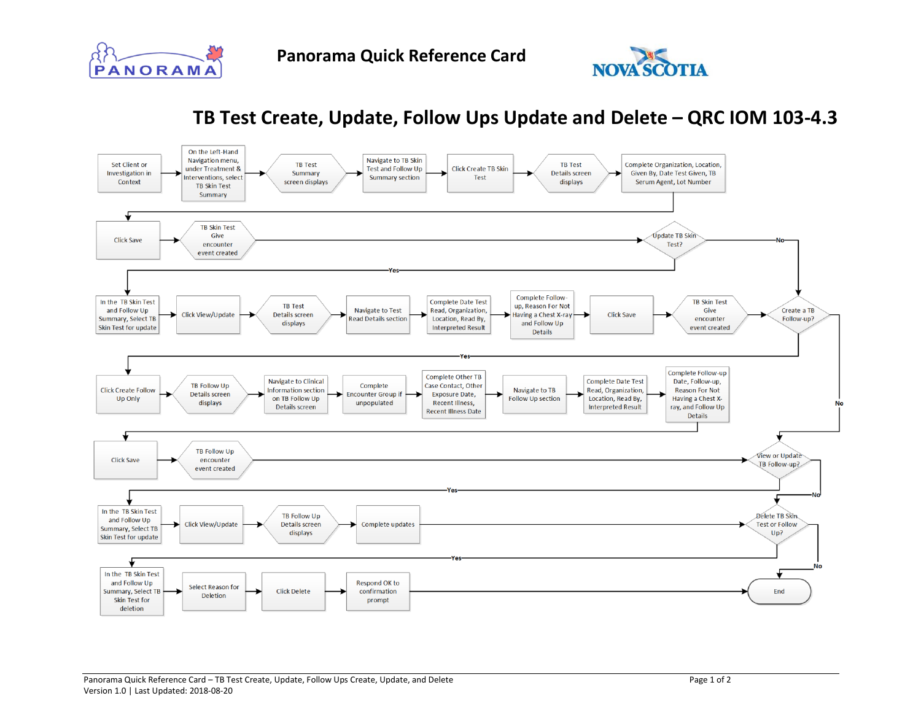



## **TB Test Create, Update, Follow Ups Update and Delete – QRC IOM 103-4.3**